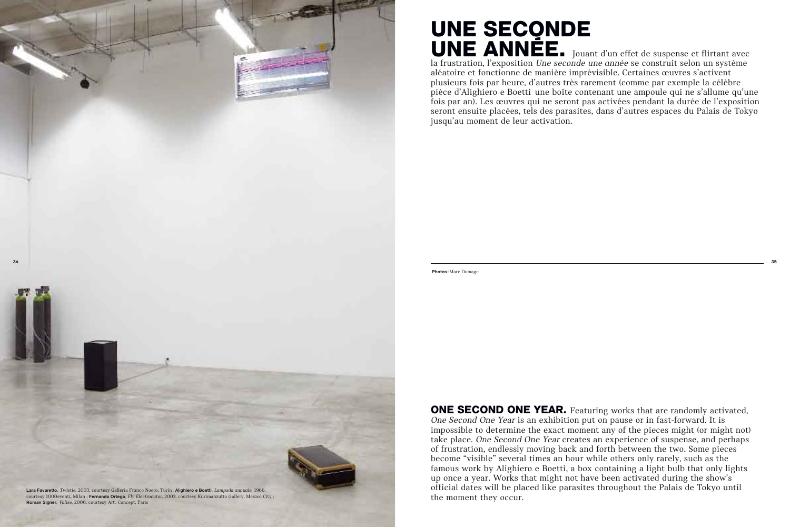## UNE SECONDE UNE ANNÉE. Jouant d'un effet de suspense et flirtant avec

la frustration, l'exposition *Une seconde une année* se construit selon un système aléatoire et fonctionne de manière imprévisible. Certaines œuvres s'activent plusieurs fois par heure, d'autres très rarement (comme par exemple la célèbre pièce d'Alighiero e Boetti une boîte contenant une ampoule qui ne s'allume qu'une fois par an). Les œuvres qui ne seront pas activées pendant la durée de l'exposition seront ensuite placées, tels des parasites, dans d'autres espaces du Palais de Tokyo jusqu'au moment de leur activation.



ONE SECOND ONE YEAR. Featuring works that are randomly activated, One Second One Year is an exhibition put on pause or in fast-forward. It is impossible to determine the exact moment any of the pieces might (or might not) take place. One Second One Year creates an experience of suspense, and perhaps of frustration, endlessly moving back and forth between the two. Some pieces become "visible" several times an hour while others only rarely, such as the famous work by Alighiero e Boetti, a box containing a light bulb that only lights up once a year. Works that might not have been activated during the show's official dates will be placed like parasites throughout the Palais de Tokyo until the moment they occur.

Photos: Marc Domage